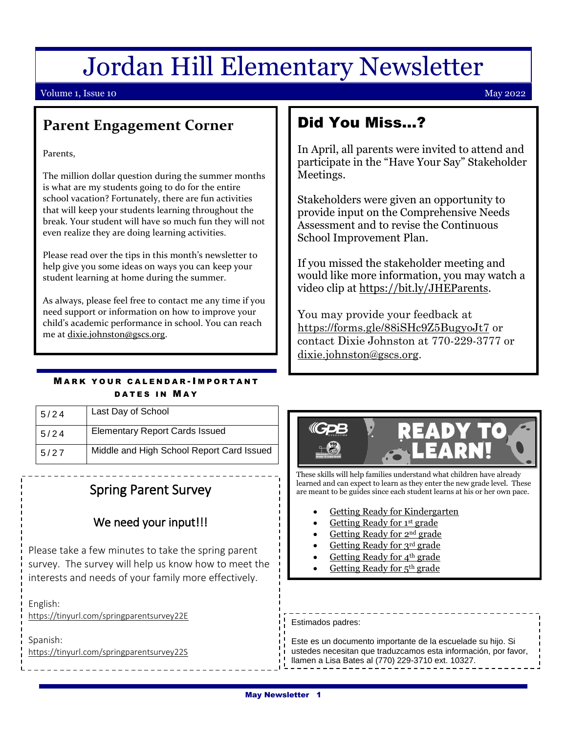# Jordan Hill Elementary Newsletter

#### Volume 1, Issue 10 May 2022

### **Parent Engagement Corner**

Parents,

The million dollar question during the summer months is what are my students going to do for the entire school vacation? Fortunately, there are fun activities that will keep your students learning throughout the break. Your student will have so much fun they will not even realize they are doing learning activities.

Please read over the tips in this month's newsletter to help give you some ideas on ways you can keep your student learning at home during the summer.

As always, please feel free to contact me any time if you need support or information on how to improve your child's academic performance in school. You can reach me at [dixie.johnston@gscs.org.](mailto:dixie.johnston@gscs.org)

### **MARK YOUR CALENDAR-IMPORTANT** DATES IN MAY

| 5/24 | Last Day of School                        |
|------|-------------------------------------------|
| 5/24 | <b>Elementary Report Cards Issued</b>     |
| 5/27 | Middle and High School Report Card Issued |
|      |                                           |

# Spring Parent Survey

#### We need your input!!!

describes how these activities will be implemented and Please take a few minutes to take the spring parent interests and needs of your family more effectively. survey. The survey will help us know how to meet the

English:

 $\frac{1}{3}$  you have any comments, comments, concerns or suggestions, concerns or suggestions, concerns or suggestions,  $\frac{1}{3}$ <https://tinyurl.com/springparentsurvey22E>

Spanish: <https://tinyurl.com/springparentsurvey22S>

# Did You Miss…?

In April, all parents were invited to attend and participate in the "Have Your Say" Stakeholder Meetings.

Stakeholders were given an opportunity to provide input on the Comprehensive Needs Assessment and to revise the Continuous School Improvement Plan.

If you missed the stakeholder meeting and would like more information, you may watch a video clip at [https://bit.ly/JHEParents.](https://bit.ly/JHEParents)

You may provide your feedback at <https://forms.gle/88iSHc9Z5BugyoJt7> or contact Dixie Johnston at 770-229-3777 or [dixie.johnston@gscs.org.](mailto:dixie.johnston@gscs.org)



These skills will help families understand what children have already learned and can expect to learn as they enter the new grade level. These are meant to be guides since each student learns at his or her own pace.

- [Getting Ready for Kindergarten](https://www.gpb.org/sites/default/files/2021-06/GettingReady_K_Skills_June2021.pdf)
- [Getting Ready for 1](https://www.gpb.org/sites/default/files/2021-06/GettingReady_1st_Skills_June2021.V3.pdf)<sup>st</sup> grade
- [Getting Ready for 2](https://www.gpb.org/sites/default/files/2021-06/GettingReady_2nd_Skills_June2021.pdf)nd grade
- [Getting Ready for](https://www.gpb.org/sites/default/files/2021-06/GettingReady_3rd_Skills_June2021.pdf) 3rd grade
- [Getting Ready for 4](https://www.gpb.org/sites/default/files/2021-06/GettingReady_4th_Skills_June2021.pdf)<sup>th</sup> grade
- [Getting Ready](https://www.gpb.org/sites/default/files/2021-07/GettingReady_5th_Skills_June2021.pdf) for 5th grade

| Estimados padres: |  |
|-------------------|--|
|                   |  |

Este es un documento importante de la escuelade su hijo. Si ustedes necesitan que traduzcamos esta información, por favor, llamen a Lisa Bates al (770) 229-3710 ext. 10327.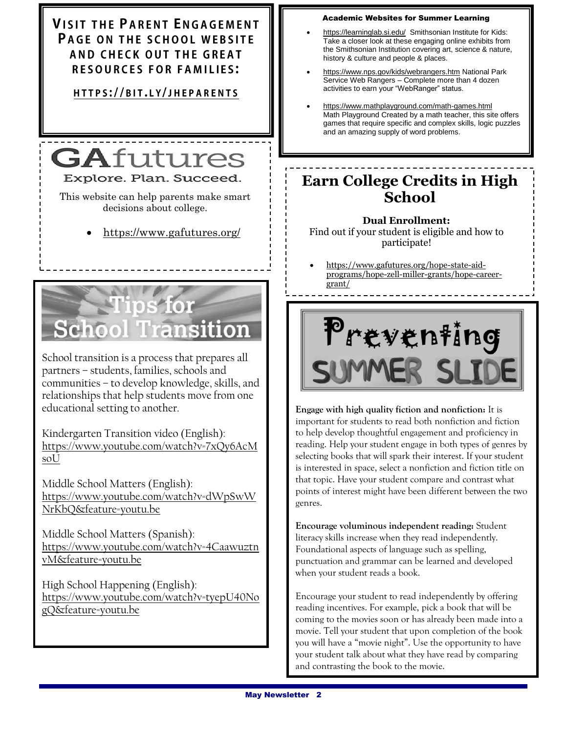